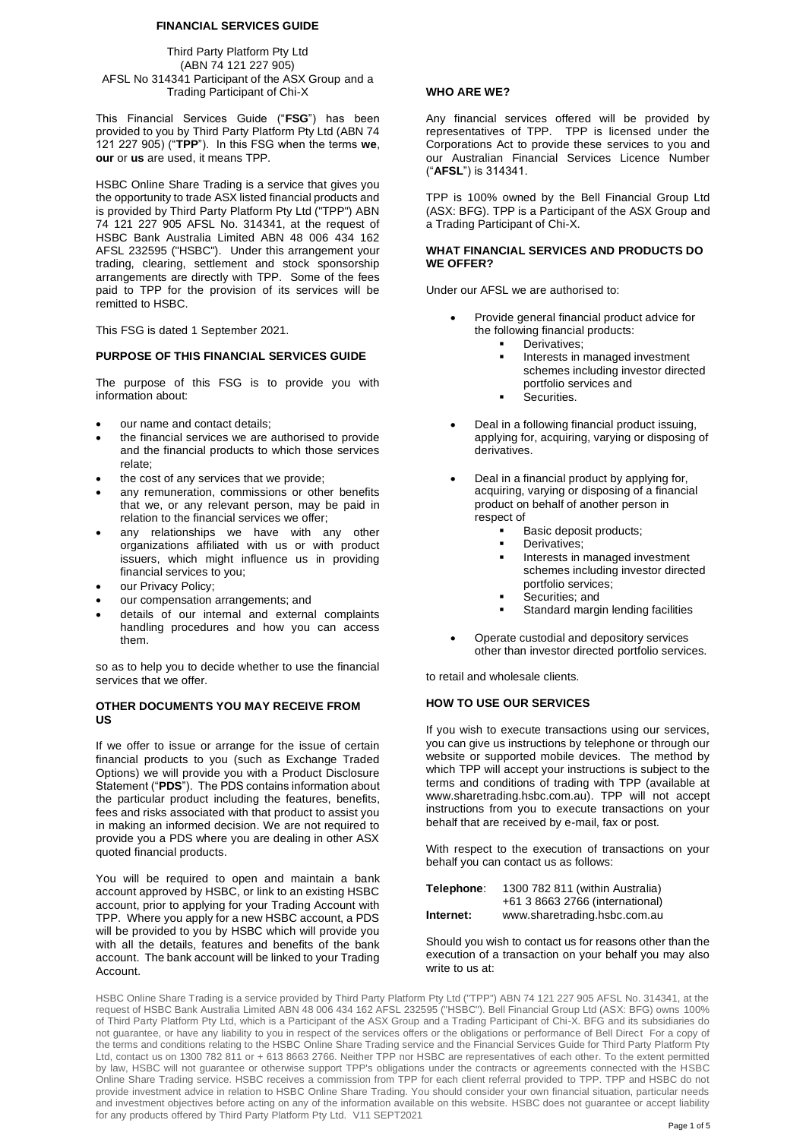### **FINANCIAL SERVICES GUIDE**

Third Party Platform Pty Ltd (ABN 74 121 227 905) AFSL No 314341 Participant of the ASX Group and a Trading Participant of Chi-X

This Financial Services Guide ("**FSG**") has been provided to you by Third Party Platform Pty Ltd (ABN 74 121 227 905) ("**TPP**"). In this FSG when the terms **we**, **our** or **us** are used, it means TPP.

HSBC Online Share Trading is a service that gives you the opportunity to trade ASX listed financial products and is provided by Third Party Platform Pty Ltd ("TPP") ABN 74 121 227 905 AFSL No. 314341, at the request of HSBC Bank Australia Limited ABN 48 006 434 162 AFSL 232595 ("HSBC"). Under this arrangement your trading, clearing, settlement and stock sponsorship arrangements are directly with TPP. Some of the fees paid to TPP for the provision of its services will be remitted to HSBC.

This FSG is dated 1 September 2021.

#### **PURPOSE OF THIS FINANCIAL SERVICES GUIDE**

The purpose of this FSG is to provide you with information about:

- our name and contact details;
- the financial services we are authorised to provide and the financial products to which those services relate;
- the cost of any services that we provide;
- any remuneration, commissions or other benefits that we, or any relevant person, may be paid in relation to the financial services we offer;
- any relationships we have with any other organizations affiliated with us or with product issuers, which might influence us in providing financial services to you;
- our Privacy Policy;
- our compensation arrangements; and
- details of our internal and external complaints handling procedures and how you can access them.

so as to help you to decide whether to use the financial services that we offer.

### **OTHER DOCUMENTS YOU MAY RECEIVE FROM US**

If we offer to issue or arrange for the issue of certain financial products to you (such as Exchange Traded Options) we will provide you with a Product Disclosure Statement ("**PDS**"). The PDS contains information about the particular product including the features, benefits, fees and risks associated with that product to assist you in making an informed decision. We are not required to provide you a PDS where you are dealing in other ASX quoted financial products.

You will be required to open and maintain a bank account approved by HSBC, or link to an existing HSBC account, prior to applying for your Trading Account with TPP. Where you apply for a new HSBC account, a PDS will be provided to you by HSBC which will provide you with all the details, features and benefits of the bank account. The bank account will be linked to your Trading Account.

#### **WHO ARE WE?**

Any financial services offered will be provided by representatives of TPP. TPP is licensed under the Corporations Act to provide these services to you and our Australian Financial Services Licence Number ("**AFSL**") is 314341.

TPP is 100% owned by the Bell Financial Group Ltd (ASX: BFG). TPP is a Participant of the ASX Group and a Trading Participant of Chi-X.

### **WHAT FINANCIAL SERVICES AND PRODUCTS DO WE OFFER?**

Under our AFSL we are authorised to:

- Provide general financial product advice for the following financial products:
	- **•** Derivatives;
	- Interests in managed investment schemes including investor directed portfolio services and
	- .<br>Securities.
- Deal in a following financial product issuing, applying for, acquiring, varying or disposing of derivatives.
- Deal in a financial product by applying for, acquiring, varying or disposing of a financial product on behalf of another person in respect of
	- Basic deposit products;
	- Derivatives:
	- **·** Interests in managed investment schemes including investor directed portfolio services;
	- Securities; and
	- Standard margin lending facilities
- Operate custodial and depository services other than investor directed portfolio services.

to retail and wholesale clients.

# **HOW TO USE OUR SERVICES**

If you wish to execute transactions using our services, you can give us instructions by telephone or through our website or supported mobile devices. The method by which TPP will accept your instructions is subject to the terms and conditions of trading with TPP (available at www.sharetrading.hsbc.com.au). TPP will not accept instructions from you to execute transactions on your behalf that are received by e-mail, fax or post.

With respect to the execution of transactions on your behalf you can contact us as follows:

| Telephone: | 1300 782 811 (within Australia) |
|------------|---------------------------------|
|            | +61 3 8663 2766 (international) |
| Internet:  | www.sharetrading.hsbc.com.au    |

Should you wish to contact us for reasons other than the execution of a transaction on your behalf you may also write to us at:

HSBC Online Share Trading is a service provided by Third Party Platform Pty Ltd ("TPP") ABN 74 121 227 905 AFSL No. 314341, at the request of HSBC Bank Australia Limited ABN 48 006 434 162 AFSL 232595 ("HSBC"). Bell Financial Group Ltd (ASX: BFG) owns 100% of Third Party Platform Pty Ltd, which is a Participant of the ASX Group and a Trading Participant of Chi-X. BFG and its subsidiaries do not guarantee, or have any liability to you in respect of the services offers or the obligations or performance of Bell Direct For a copy of the terms and conditions relating to the HSBC Online Share Trading service and the Financial Services Guide for Third Party Platform Pty Ltd, contact us on 1300 782 811 or + 613 8663 2766. Neither TPP nor HSBC are representatives of each other. To the extent permitted by law, HSBC will not guarantee or otherwise support TPP's obligations under the contracts or agreements connected with the HSBC Online Share Trading service. HSBC receives a commission from TPP for each client referral provided to TPP. TPP and HSBC do not provide investment advice in relation to HSBC Online Share Trading. You should consider your own financial situation, particular needs and investment objectives before acting on any of the information available on this website. HSBC does not guarantee or accept liability for any products offered by Third Party Platform Pty Ltd. V11 SEPT2021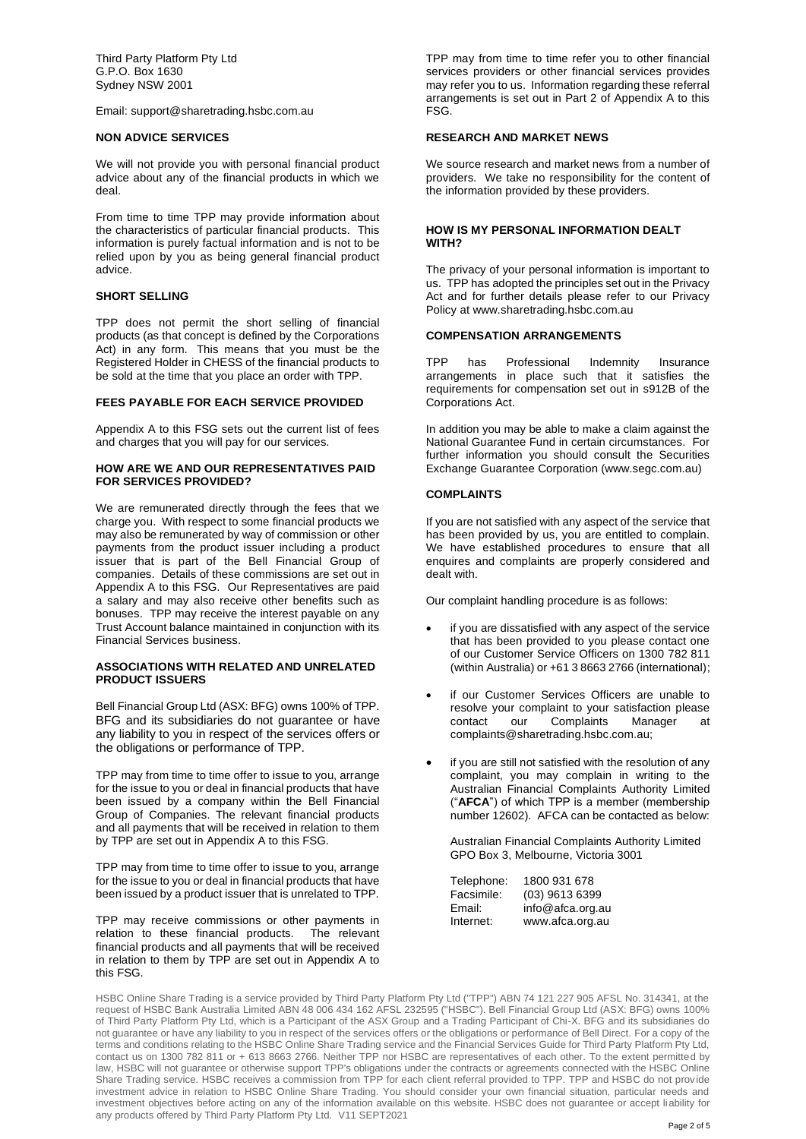Third Party Platform Pty Ltd G.P.O. Box 1630 Sydney NSW 2001

Email: support@sharetrading.hsbc.com.au

#### **NON ADVICE SERVICES**

We will not provide you with personal financial product advice about any of the financial products in which we deal.

From time to time TPP may provide information about the characteristics of particular financial products. This information is purely factual information and is not to be relied upon by you as being general financial product advice.

### **SHORT SELLING**

TPP does not permit the short selling of financial products (as that concept is defined by the Corporations Act) in any form. This means that you must be the Registered Holder in CHESS of the financial products to be sold at the time that you place an order with TPP.

#### **FEES PAYABLE FOR EACH SERVICE PROVIDED**

Appendix A to this FSG sets out the current list of fees and charges that you will pay for our services.

#### **HOW ARE WE AND OUR REPRESENTATIVES PAID FOR SERVICES PROVIDED?**

We are remunerated directly through the fees that we charge you. With respect to some financial products we may also be remunerated by way of commission or other payments from the product issuer including a product issuer that is part of the Bell Financial Group of companies. Details of these commissions are set out in Appendix A to this FSG. Our Representatives are paid a salary and may also receive other benefits such as bonuses. TPP may receive the interest payable on any Trust Account balance maintained in conjunction with its Financial Services business.

#### **ASSOCIATIONS WITH RELATED AND UNRELATED PRODUCT ISSUERS**

Bell Financial Group Ltd (ASX: BFG) owns 100% of TPP. BFG and its subsidiaries do not guarantee or have any liability to you in respect of the services offers or the obligations or performance of TPP.

TPP may from time to time offer to issue to you, arrange for the issue to you or deal in financial products that have been issued by a company within the Bell Financial Group of Companies. The relevant financial products and all payments that will be received in relation to them by TPP are set out in Appendix A to this FSG.

TPP may from time to time offer to issue to you, arrange for the issue to you or deal in financial products that have been issued by a product issuer that is unrelated to TPP.

TPP may receive commissions or other payments in relation to these financial products. The relevant financial products and all payments that will be received in relation to them by TPP are set out in Appendix A to this FSG.

TPP may from time to time refer you to other financial services providers or other financial services provides may refer you to us. Information regarding these referral arrangements is set out in Part 2 of Appendix A to this FSG.

## **RESEARCH AND MARKET NEWS**

We source research and market news from a number of providers. We take no responsibility for the content of the information provided by these providers.

### **HOW IS MY PERSONAL INFORMATION DEALT WITH?**

The privacy of your personal information is important to us. TPP has adopted the principles set out in the Privacy Act and for further details please refer to our Privacy Policy at www.sharetrading.hsbc.com.au

#### **COMPENSATION ARRANGEMENTS**

TPP has Professional Indemnity Insurance arrangements in place such that it satisfies the requirements for compensation set out in s912B of the Corporations Act.

In addition you may be able to make a claim against the National Guarantee Fund in certain circumstances. For further information you should consult the Securities Exchange Guarantee Corporation (www.segc.com.au)

## **COMPLAINTS**

If you are not satisfied with any aspect of the service that has been provided by us, you are entitled to complain. We have established procedures to ensure that all enquires and complaints are properly considered and dealt with.

Our complaint handling procedure is as follows:

- if you are dissatisfied with any aspect of the service that has been provided to you please contact one of our Customer Service Officers on 1300 782 811 (within Australia) or +61 3 8663 2766 (international);
- if our Customer Services Officers are unable to resolve your complaint to your satisfaction please contact our Complaints Manager at complaints@sharetrading.hsbc.com.au;
- if you are still not satisfied with the resolution of any complaint, you may complain in writing to the Australian Financial Complaints Authority Limited ("**AFCA**") of which TPP is a member (membership number 12602). AFCA can be contacted as below:

Australian Financial Complaints Authority Limited GPO Box 3, Melbourne, Victoria 3001

| Telephone: | 1800 931 678     |
|------------|------------------|
| Facsimile: | (03) 9613 6399   |
| Email:     | info@afca.org.au |
| Internet:  | www.afca.org.au  |

HSBC Online Share Trading is a service provided by Third Party Platform Pty Ltd ("TPP") ABN 74 121 227 905 AFSL No. 314341, at the request of HSBC Bank Australia Limited ABN 48 006 434 162 AFSL 232595 ("HSBC"). Bell Financial Group Ltd (ASX: BFG) owns 100% of Third Party Platform Pty Ltd, which is a Participant of the ASX Group and a Trading Participant of Chi-X. BFG and its subsidiaries do not guarantee or have any liability to you in respect of the services offers or the obligations or performance of Bell Direct. For a copy of the terms and conditions relating to the HSBC Online Share Trading service and the Financial Services Guide for Third Party Platform Pty Ltd, contact us on 1300 782 811 or + 613 8663 2766. Neither TPP nor HSBC are representatives of each other. To the extent permitted by law, HSBC will not guarantee or otherwise support TPP's obligations under the contracts or agreements connected with the HSBC Online Share Trading service. HSBC receives a commission from TPP for each client referral provided to TPP. TPP and HSBC do not provide investment advice in relation to HSBC Online Share Trading. You should consider your own financial situation, particular needs and investment objectives before acting on any of the information available on this website. HSBC does not guarantee or accept liability for any products offered by Third Party Platform Pty Ltd. V11 SEPT2021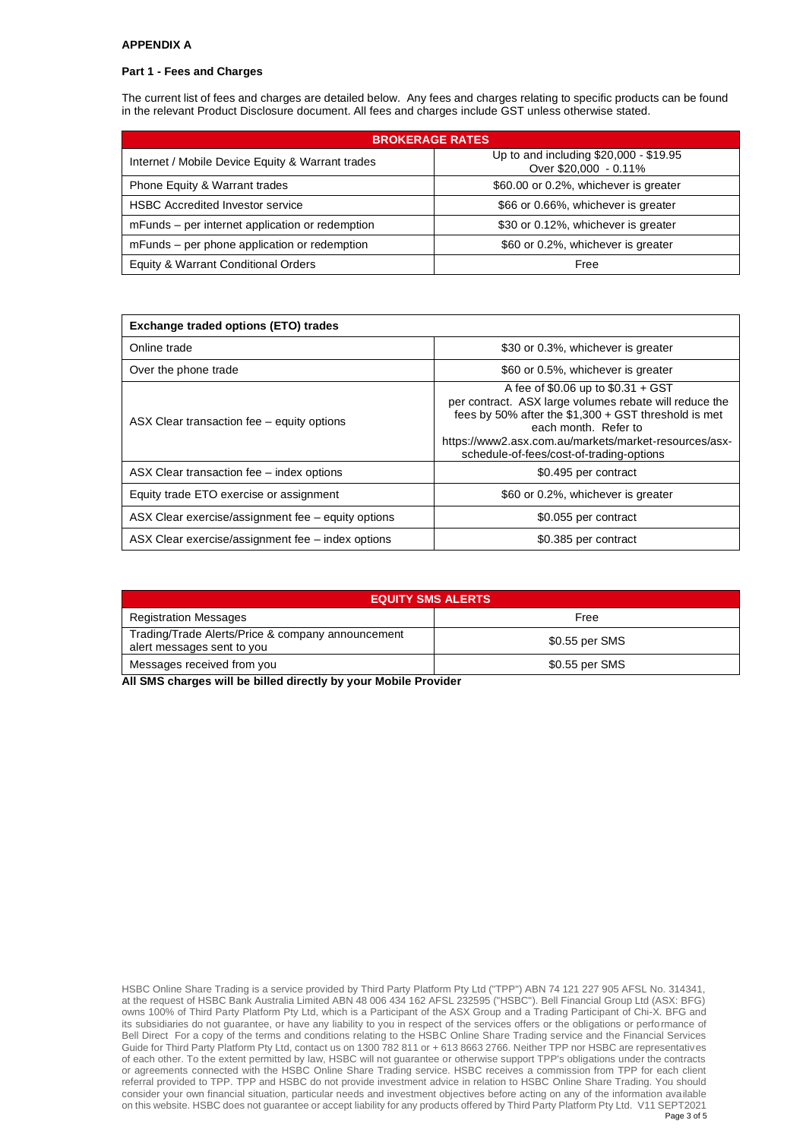### **APPENDIX A**

### **Part 1 - Fees and Charges**

The current list of fees and charges are detailed below. Any fees and charges relating to specific products can be found in the relevant Product Disclosure document. All fees and charges include GST unless otherwise stated.

| <b>BROKERAGE RATES</b>                           |                                                                 |  |
|--------------------------------------------------|-----------------------------------------------------------------|--|
| Internet / Mobile Device Equity & Warrant trades | Up to and including \$20,000 - \$19.95<br>Over \$20,000 - 0.11% |  |
| Phone Equity & Warrant trades                    | \$60.00 or 0.2%, whichever is greater                           |  |
| <b>HSBC Accredited Investor service</b>          | \$66 or 0.66%, whichever is greater                             |  |
| mFunds – per internet application or redemption  | \$30 or 0.12%, whichever is greater                             |  |
| mFunds – per phone application or redemption     | \$60 or 0.2%, whichever is greater                              |  |
| Equity & Warrant Conditional Orders              | Free                                                            |  |

| <b>Exchange traded options (ETO) trades</b>        |                                                                                                                                                                                                                                                                                     |  |
|----------------------------------------------------|-------------------------------------------------------------------------------------------------------------------------------------------------------------------------------------------------------------------------------------------------------------------------------------|--|
| Online trade                                       | \$30 or 0.3%, whichever is greater                                                                                                                                                                                                                                                  |  |
| Over the phone trade                               | \$60 or 0.5%, whichever is greater                                                                                                                                                                                                                                                  |  |
| ASX Clear transaction fee – equity options         | A fee of $$0.06$ up to $$0.31 + GST$<br>per contract. ASX large volumes rebate will reduce the<br>fees by 50% after the \$1,300 + GST threshold is met<br>each month. Refer to<br>https://www2.asx.com.au/markets/market-resources/asx-<br>schedule-of-fees/cost-of-trading-options |  |
| ASX Clear transaction fee – index options          | \$0.495 per contract                                                                                                                                                                                                                                                                |  |
| Equity trade ETO exercise or assignment            | \$60 or 0.2%, whichever is greater                                                                                                                                                                                                                                                  |  |
| ASX Clear exercise/assignment fee – equity options | \$0.055 per contract                                                                                                                                                                                                                                                                |  |
| ASX Clear exercise/assignment fee – index options  | \$0.385 per contract                                                                                                                                                                                                                                                                |  |

| <b>EQUITY SMS ALERTS</b>                                                        |                |  |
|---------------------------------------------------------------------------------|----------------|--|
| <b>Registration Messages</b>                                                    | Free           |  |
| Trading/Trade Alerts/Price & company announcement<br>alert messages sent to you | \$0.55 per SMS |  |
| Messages received from you                                                      | \$0.55 per SMS |  |

**All SMS charges will be billed directly by your Mobile Provider**

HSBC Online Share Trading is a service provided by Third Party Platform Pty Ltd ("TPP") ABN 74 121 227 905 AFSL No. 314341, at the request of HSBC Bank Australia Limited ABN 48 006 434 162 AFSL 232595 ("HSBC"). Bell Financial Group Ltd (ASX: BFG) owns 100% of Third Party Platform Pty Ltd, which is a Participant of the ASX Group and a Trading Participant of Chi-X. BFG and its subsidiaries do not guarantee, or have any liability to you in respect of the services offers or the obligations or performance of Bell Direct For a copy of the terms and conditions relating to the HSBC Online Share Trading service and the Financial Services Guide for Third Party Platform Pty Ltd, contact us on 1300 782 811 or + 613 8663 2766. Neither TPP nor HSBC are representatives of each other. To the extent permitted by law, HSBC will not guarantee or otherwise support TPP's obligations under the contracts or agreements connected with the HSBC Online Share Trading service. HSBC receives a commission from TPP for each client referral provided to TPP. TPP and HSBC do not provide investment advice in relation to HSBC Online Share Trading. You should consider your own financial situation, particular needs and investment objectives before acting on any of the information available on this website. HSBC does not guarantee or accept liability for any products offered by Third Party Platform Pty Ltd. V11 SEPT2021 Page 3 of 5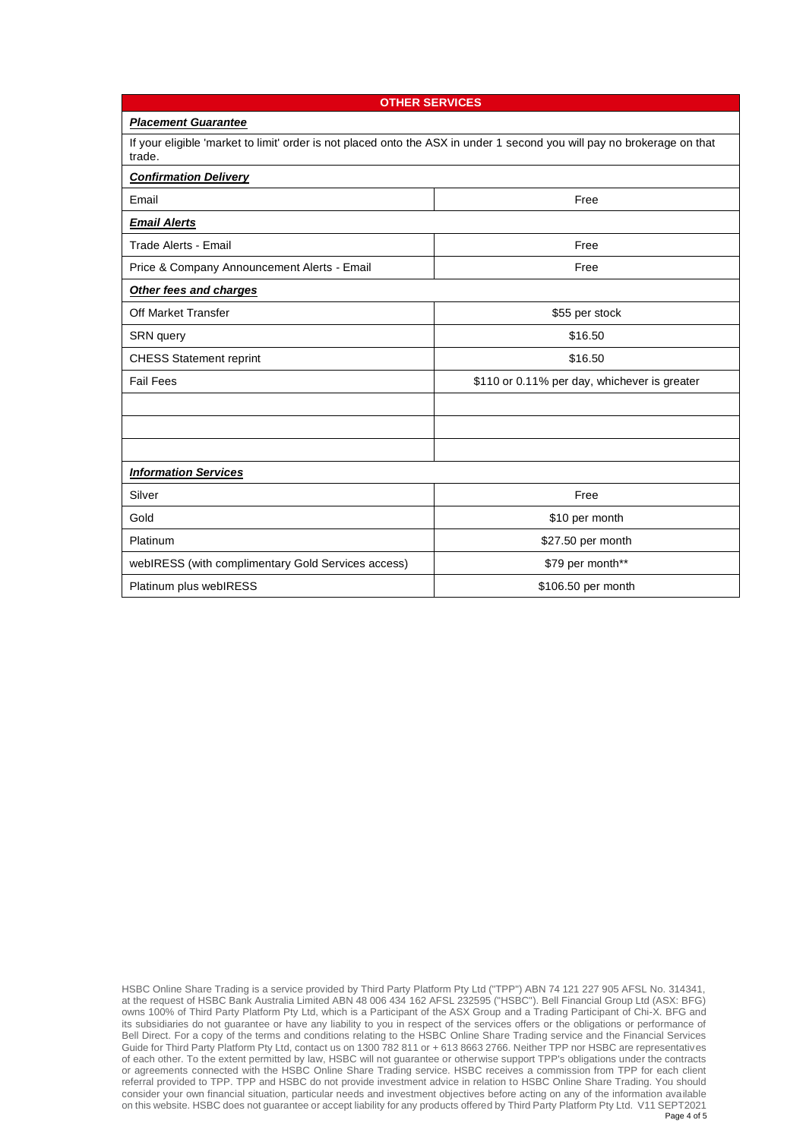| <b>OTHER SERVICES</b>                                                                                                             |                                              |  |  |  |
|-----------------------------------------------------------------------------------------------------------------------------------|----------------------------------------------|--|--|--|
| <b>Placement Guarantee</b>                                                                                                        |                                              |  |  |  |
| If your eligible 'market to limit' order is not placed onto the ASX in under 1 second you will pay no brokerage on that<br>trade. |                                              |  |  |  |
| <b>Confirmation Delivery</b>                                                                                                      |                                              |  |  |  |
| Email                                                                                                                             | Free                                         |  |  |  |
| <b>Email Alerts</b>                                                                                                               |                                              |  |  |  |
| <b>Trade Alerts - Email</b>                                                                                                       | Free                                         |  |  |  |
| Price & Company Announcement Alerts - Email                                                                                       | Free                                         |  |  |  |
| Other fees and charges                                                                                                            |                                              |  |  |  |
| Off Market Transfer                                                                                                               | \$55 per stock                               |  |  |  |
| SRN query                                                                                                                         | \$16.50                                      |  |  |  |
| <b>CHESS Statement reprint</b>                                                                                                    | \$16.50                                      |  |  |  |
| <b>Fail Fees</b>                                                                                                                  | \$110 or 0.11% per day, whichever is greater |  |  |  |
|                                                                                                                                   |                                              |  |  |  |
|                                                                                                                                   |                                              |  |  |  |
|                                                                                                                                   |                                              |  |  |  |
| <b>Information Services</b>                                                                                                       |                                              |  |  |  |
| Silver                                                                                                                            | Free                                         |  |  |  |
| Gold                                                                                                                              | \$10 per month                               |  |  |  |
| Platinum                                                                                                                          | \$27.50 per month                            |  |  |  |
| webIRESS (with complimentary Gold Services access)                                                                                | \$79 per month**                             |  |  |  |
| Platinum plus webIRESS                                                                                                            | \$106.50 per month                           |  |  |  |

HSBC Online Share Trading is a service provided by Third Party Platform Pty Ltd ("TPP") ABN 74 121 227 905 AFSL No. 314341, at the request of HSBC Bank Australia Limited ABN 48 006 434 162 AFSL 232595 ("HSBC"). Bell Financial Group Ltd (ASX: BFG) owns 100% of Third Party Platform Pty Ltd, which is a Participant of the ASX Group and a Trading Participant of Chi-X. BFG and its subsidiaries do not guarantee or have any liability to you in respect of the services offers or the obligations or performance of Bell Direct. For a copy of the terms and conditions relating to the HSBC Online Share Trading service and the Financial Services Guide for Third Party Platform Pty Ltd, contact us on 1300 782 811 or + 613 8663 2766. Neither TPP nor HSBC are representatives of each other. To the extent permitted by law, HSBC will not guarantee or otherwise support TPP's obligations under the contracts or agreements connected with the HSBC Online Share Trading service. HSBC receives a commission from TPP for each client referral provided to TPP. TPP and HSBC do not provide investment advice in relation to HSBC Online Share Trading. You should consider your own financial situation, particular needs and investment objectives before acting on any of the information available on this website. HSBC does not guarantee or accept liability for any products offered by Third Party Platform Pty Ltd. V11 SEPT2021